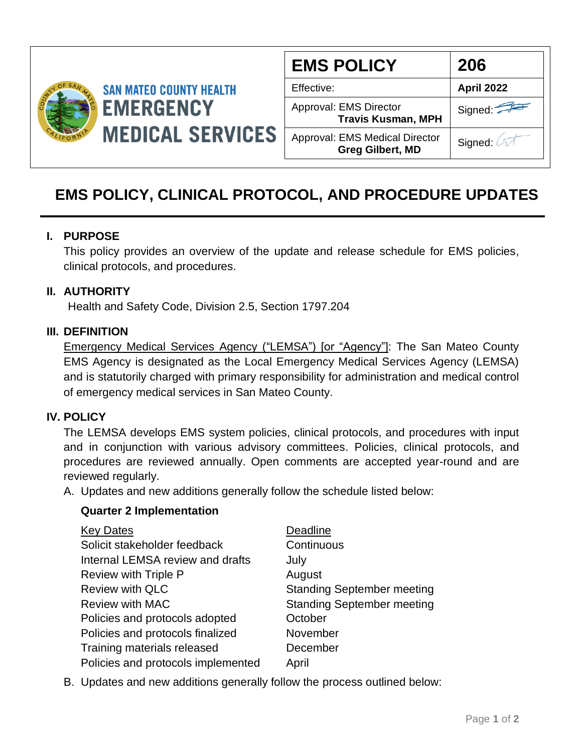

| <b>EMS POLICY</b>                                         | 206        |
|-----------------------------------------------------------|------------|
| Effective:                                                | April 2022 |
| Approval: EMS Director<br><b>Travis Kusman, MPH</b>       | Signed:    |
| Approval: EMS Medical Director<br><b>Greg Gilbert, MD</b> | Signed: 2  |

# **EMS POLICY, CLINICAL PROTOCOL, AND PROCEDURE UPDATES**

# **I. PURPOSE**

This policy provides an overview of the update and release schedule for EMS policies, clinical protocols, and procedures.

# **II. AUTHORITY**

Health and Safety Code, Division 2.5, Section 1797.204

# **III. DEFINITION**

Emergency Medical Services Agency ("LEMSA") [or "Agency"]: The San Mateo County EMS Agency is designated as the Local Emergency Medical Services Agency (LEMSA) and is statutorily charged with primary responsibility for administration and medical control of emergency medical services in San Mateo County.

### **IV. POLICY**

The LEMSA develops EMS system policies, clinical protocols, and procedures with input and in conjunction with various advisory committees. Policies, clinical protocols, and procedures are reviewed annually. Open comments are accepted year-round and are reviewed regularly.

A. Updates and new additions generally follow the schedule listed below:

### **Quarter 2 Implementation**

| <b>Key Dates</b>                   | Deadline                          |
|------------------------------------|-----------------------------------|
| Solicit stakeholder feedback       | Continuous                        |
| Internal LEMSA review and drafts   | July                              |
| Review with Triple P               | August                            |
| <b>Review with QLC</b>             | <b>Standing September meeting</b> |
| <b>Review with MAC</b>             | <b>Standing September meeting</b> |
| Policies and protocols adopted     | October                           |
| Policies and protocols finalized   | November                          |
| Training materials released        | December                          |
| Policies and protocols implemented | April                             |

B. Updates and new additions generally follow the process outlined below: